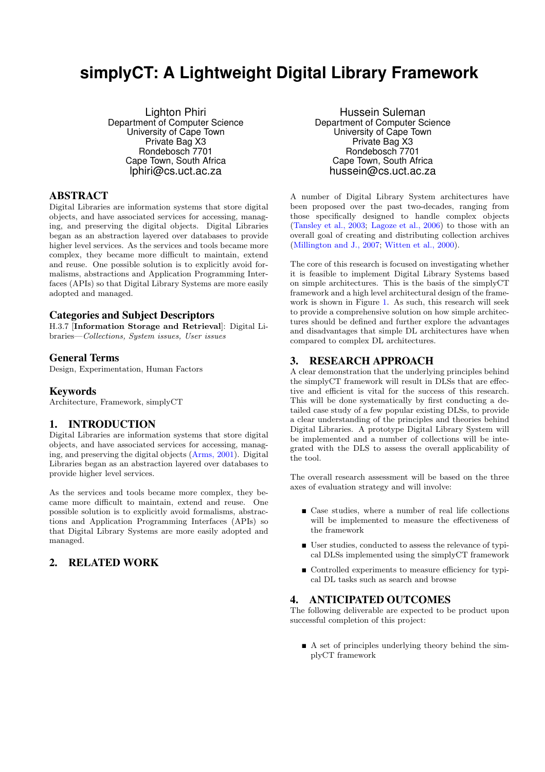# **simplyCT: A Lightweight Digital Library Framework**

Lighton Phiri Department of Computer Science University of Cape Town Private Bag X3 Rondebosch 7701 Cape Town, South Africa lphiri@cs.uct.ac.za

# ABSTRACT

Digital Libraries are information systems that store digital objects, and have associated services for accessing, managing, and preserving the digital objects. Digital Libraries began as an abstraction layered over databases to provide higher level services. As the services and tools became more complex, they became more difficult to maintain, extend and reuse. One possible solution is to explicitly avoid formalisms, abstractions and Application Programming Interfaces (APIs) so that Digital Library Systems are more easily adopted and managed.

#### Categories and Subject Descriptors

H.3.7 [Information Storage and Retrieval]: Digital Libraries—Collections, System issues, User issues

# General Terms

Design, Experimentation, Human Factors

#### Keywords

Architecture, Framework, simplyCT

#### 1. INTRODUCTION

Digital Libraries are information systems that store digital objects, and have associated services for accessing, managing, and preserving the digital objects [\(Arms, 2001](#page-1-0)). Digital Libraries began as an abstraction layered over databases to provide higher level services.

As the services and tools became more complex, they became more difficult to maintain, extend and reuse. One possible solution is to explicitly avoid formalisms, abstractions and Application Programming Interfaces (APIs) so that Digital Library Systems are more easily adopted and managed.

# 2. RELATED WORK

Hussein Suleman Department of Computer Science University of Cape Town Private Bag X3 Rondebosch 7701 Cape Town, South Africa hussein@cs.uct.ac.za

A number of Digital Library System architectures have been proposed over the past two-decades, ranging from those specifically designed to handle complex objects [\(Tansley et al., 2003;](#page-1-0) [Lagoze et al., 2006\)](#page-1-0) to those with an overall goal of creating and distributing collection archives [\(Millington and J., 2007](#page-1-0); [Witten et al., 2000\)](#page-1-0).

The core of this research is focused on investigating whether it is feasible to implement Digital Library Systems based on simple architectures. This is the basis of the simplyCT framework and a high level architectural design of the framework is shown in Figure [1.](#page-1-0) As such, this research will seek to provide a comprehensive solution on how simple architectures should be defined and further explore the advantages and disadvantages that simple DL architectures have when compared to complex DL architectures.

# 3. RESEARCH APPROACH

A clear demonstration that the underlying principles behind the simplyCT framework will result in DLSs that are effective and efficient is vital for the success of this research. This will be done systematically by first conducting a detailed case study of a few popular existing DLSs, to provide a clear understanding of the principles and theories behind Digital Libraries. A prototype Digital Library System will be implemented and a number of collections will be integrated with the DLS to assess the overall applicability of the tool.

The overall research assessment will be based on the three axes of evaluation strategy and will involve:

- Case studies, where a number of real life collections will be implemented to measure the effectiveness of the framework
- User studies, conducted to assess the relevance of typical DLSs implemented using the simplyCT framework
- Controlled experiments to measure efficiency for typical DL tasks such as search and browse

# 4. ANTICIPATED OUTCOMES

The following deliverable are expected to be product upon successful completion of this project:

 A set of principles underlying theory behind the simplyCT framework